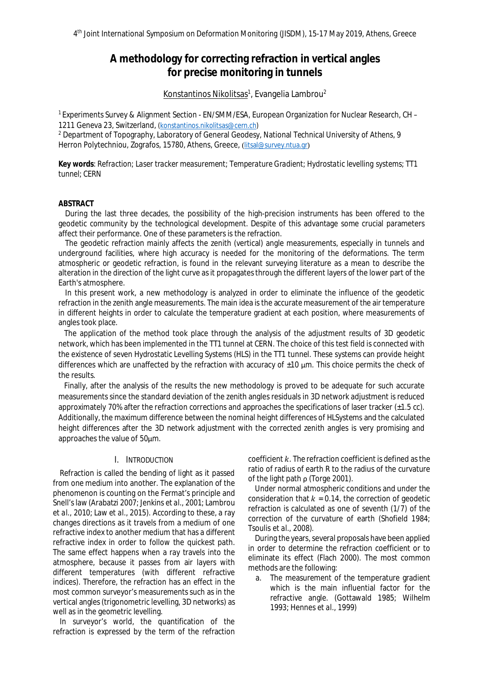# **A methodology for correcting refraction in vertical angles for precise monitoring in tunnels**

# <u>Konstantinos Nikolitsas</u><sup>1</sup>, Evangelia Lambrou<sup>2</sup>

<sup>1</sup> Experiments Survey & Alignment Section - EN/SMM/ESA, European Organization for Nuclear Research, CH – 1211 Geneva 23, Switzerland, [\(konstantinos.nikolitsas@cern.ch](mailto:konstantinos.nikolitsas@cern.ch))

<sup>2</sup> Department of Topography, Laboratory of General Geodesy, National Technical University of Athens, 9 Herron Polytechniou, Zografos, 15780, Athens, Greece, ([litsal@survey.ntua.gr](mailto:litsal@survey.ntua.gr))

**Key words**: *Refraction; Laser tracker measurement; Temperature Gradient; Hydrostatic levelling systems; TT1 tunnel; CERN*

## **ABSTRACT**

During the last three decades, the possibility of the high-precision instruments has been offered to the geodetic community by the technological development. Despite of this advantage some crucial parameters affect their performance. One of these parameters is the refraction.

The geodetic refraction mainly affects the zenith (vertical) angle measurements, especially in tunnels and underground facilities, where high accuracy is needed for the monitoring of the deformations. The term atmospheric or geodetic refraction, is found in the relevant surveying literature as a mean to describe the alteration in the direction of the light curve as it propagates through the different layers of the lower part of the Earth's atmosphere.

In this present work, a new methodology is analyzed in order to eliminate the influence of the geodetic refraction in the zenith angle measurements. The main idea is the accurate measurement of the air temperature in different heights in order to calculate the temperature gradient at each position, where measurements of angles took place.

The application of the method took place through the analysis of the adjustment results of 3D geodetic network, which has been implemented in the TT1 tunnel at CERN. The choice of this test field is connected with the existence of seven Hydrostatic Levelling Systems (HLS) in the TT1 tunnel. These systems can provide height differences which are unaffected by the refraction with accuracy of  $\pm 10$   $\mu$ m. This choice permits the check of the results.

Finally, after the analysis of the results the new methodology is proved to be adequate for such accurate measurements since the standard deviation of the zenith angles residuals in 3D network adjustment is reduced approximately 70% after the refraction corrections and approaches the specifications of laser tracker  $(\pm 1.5 \text{ cc})$ . Additionally, the maximum difference between the nominal height differences of HLSystems and the calculated height differences after the 3D network adjustment with the corrected zenith angles is very promising and approaches the value of 50μm.

# I. INTRODUCTION

Refraction is called the bending of light as it passed from one medium into another. The explanation of the phenomenon is counting on the Fermat's principle and Snell's law (Arabatzi 2007; Jenkins *et al*., 2001; Lambrou *et al.*, 2010; Law *et al.*, 2015). According to these, a ray changes directions as it travels from a medium of one refractive index to another medium that has a different refractive index in order to follow the quickest path. The same effect happens when a ray travels into the atmosphere, because it passes from air layers with different temperatures (with different refractive indices). Therefore, the refraction has an effect in the most common surveyor's measurements such as in the vertical angles (trigonometric levelling, 3D networks) as well as in the geometric levelling.

In surveyor's world, the quantification of the refraction is expressed by the term of the refraction coefficient  $k$ . The refraction coefficient is defined as the ratio of radius of earth R to the radius of the curvature of the light path ρ (Torge 2001).

Under normal atmospheric conditions and under the consideration that  $k = 0.14$ , the correction of geodetic refraction is calculated as one of seventh (1/7) of the correction of the curvature of earth (Shofield 1984; Tsoulis *et al*., 2008).

During the years, several proposals have been applied in order to determine the refraction coefficient or to eliminate its effect (Flach 2000). The most common methods are the following:

a. The measurement of the temperature gradient which is the main influential factor for the refractive angle. (Gottawald 1985; Wilhelm 1993; Hennes *et al*., 1999)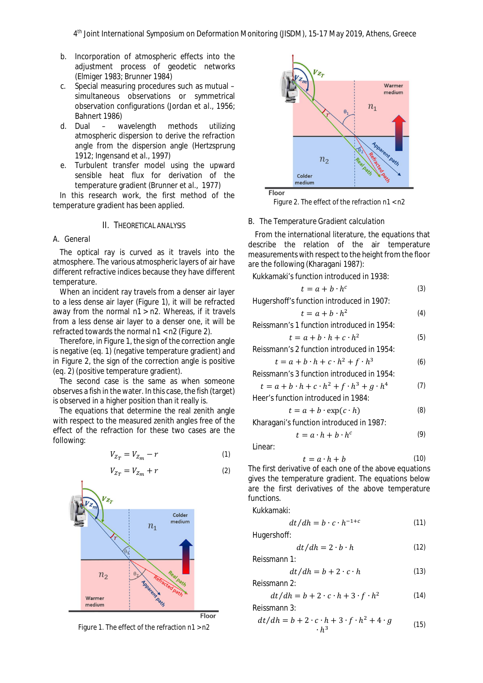- b. Incorporation of atmospheric effects into the adjustment process of geodetic networks (Elmiger 1983; Brunner 1984)
- c. Special measuring procedures such as mutual simultaneous observations or symmetrical observation configurations (Jordan *et al*., 1956; Bahnert 1986)
- d. Dual wavelength methods utilizing atmospheric dispersion to derive the refraction angle from the dispersion angle (Hertzsprung 1912; Ingensand *et al.,* 1997)
- e. Turbulent transfer model using the upward sensible heat flux for derivation of the temperature gradient (Brunner *et al*., 1977)

In this research work, the first method of the temperature gradient has been applied.

## II. THEORETICAL ANALYSIS

#### A. *General*

The optical ray is curved as it travels into the atmosphere. The various atmospheric layers of air have different refractive indices because they have different temperature.

When an incident ray travels from a denser air layer to a less dense air layer (Figure 1), it will be refracted away from the normal n1 > n2. Whereas, if it travels from a less dense air layer to a denser one, it will be refracted towards the normal n1 < n2 (Figure 2).

Therefore, in Figure 1, the sign of the correction angle is negative (eq. 1) (negative temperature gradient) and in Figure 2, the sign of the correction angle is positive (eq. 2) (positive temperature gradient).

The second case is the same as when someone observes a fish in the water. In this case, the fish (target) is observed in a higher position than it really is.

The equations that determine the real zenith angle with respect to the measured zenith angles free of the effect of the refraction for these two cases are the following:

$$
V_{Z_T} = V_{Z_m} - r \tag{1}
$$

$$
V_{Z_T} = V_{Z_m} + r \tag{2}
$$









Figure 2. The effect of the refraction n1 < n2

#### B. *The Temperature Gradient calculation*

From the international literature, the equations that describe the relation of the air temperature measurements with respect to the height from the floor are the following (Kharagani 1987):

Kukkamaki's function introduced in 1938:

$$
t = a + b \cdot h^c \tag{3}
$$

Hugershoff's function introduced in 1907:

$$
t = a + b \cdot h^2 \tag{4}
$$

Reissmann's 1 function introduced in 1954:

$$
t = a + b \cdot h + c \cdot h^2 \tag{5}
$$

Reissmann's 2 function introduced in 1954:

$$
t = a + b \cdot h + c \cdot h^2 + f \cdot h^3 \tag{6}
$$

Reissmann's 3 function introduced in 1954:

$$
t = a + b \cdot h + c \cdot h^2 + f \cdot h^3 + g \cdot h^4 \tag{7}
$$

Heer's function introduced in 1984:  $t = a + h \cdot \exp(c \cdot h)$  (8)

$$
t = a + b \cdot \exp(c \cdot n)
$$

Kharagani's function introduced in 1987:

$$
t = a \cdot h + b \cdot h^c \tag{9}
$$

Linear:

$$
t = a \cdot h + b \tag{10}
$$

The first derivative of each one of the above equations gives the temperature gradient. The equations below are the first derivatives of the above temperature functions.

Kukkamaki:

$$
dt/dh = b \cdot c \cdot h^{-1+c} \tag{11}
$$

Hugershoff:

$$
dt/dh = 2 \cdot b \cdot h \tag{12}
$$

Reissmann 1:

$$
dt/dh = b + 2 \cdot c \cdot h \tag{13}
$$

Reissmann 2:

$$
dt/dh = b + 2 \cdot c \cdot h + 3 \cdot f \cdot h^2 \tag{14}
$$

Reissmann 3:

$$
dt/dh = b + 2 \cdot c \cdot h + 3 \cdot f \cdot h^2 + 4 \cdot g \tag{15}
$$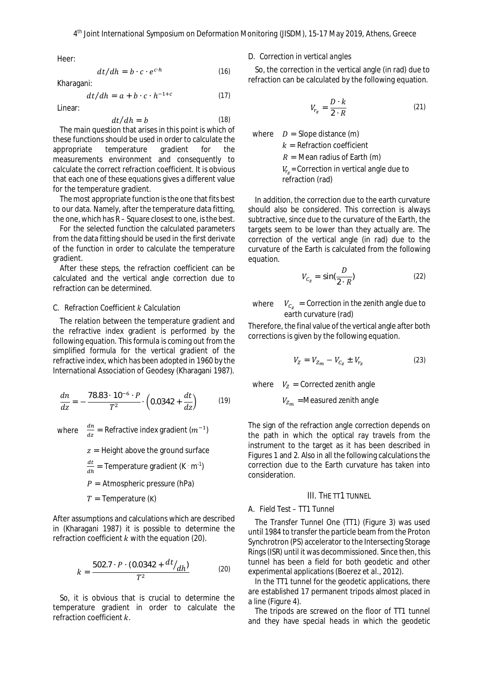Heer:

$$
dt/dh = b \cdot c \cdot e^{c \cdot h} \tag{16}
$$

Kharagani:

$$
dt/dh = a + b \cdot c \cdot h^{-1+c} \tag{17}
$$

Linear:

$$
dt/dh = b \tag{18}
$$

The main question that arises in this point is which of these functions should be used in order to calculate the appropriate temperature gradient for the measurements environment and consequently to calculate the correct refraction coefficient. It is obvious that each one of these equations gives a different value for the temperature gradient.

The most appropriate function is the one that fits best to our data. Namely, after the temperature data fitting, the one, which has R – Square closest to one, is the best.

For the selected function the calculated parameters from the data fitting should be used in the first derivate of the function in order to calculate the temperature gradient.

After these steps, the refraction coefficient can be calculated and the vertical angle correction due to refraction can be determined.

# C. *Refraction Coefficient* ݇ *Calculation*

The relation between the temperature gradient and the refractive index gradient is performed by the following equation. This formula is coming out from the simplified formula for the vertical gradient of the refractive index, which has been adopted in 1960 by the International Association of Geodesy (Kharagani 1987).

$$
\frac{dn}{dz} = -\frac{78.83 \cdot 10^{-6} \cdot P}{T^2} \cdot \left(0.0342 + \frac{dt}{dz}\right) \tag{19}
$$

where  $\frac{dn}{dz}$  = Refractive index gradient  $(m^{-1})$ 

 $z =$  Height above the ground surface

- $dt$  $\frac{du}{dh}$  = Temperature gradient (K · m<sup>-1</sup>)
- $P =$  Atmospheric pressure (hPa)
- $T =$ Temperature (K)

After assumptions and calculations which are described in (Kharagani 1987) it is possible to determine the refraction coefficient  $k$  with the equation (20).

$$
k = \frac{502.7 \cdot P \cdot (0.0342 + \frac{dt}{dh})}{T^2} \tag{20}
$$

So, it is obvious that is crucial to determine the temperature gradient in order to calculate the refraction coefficient  $k$ .

D. *Correction in vertical angles*

So, the correction in the vertical angle (in rad) due to refraction can be calculated by the following equation.

$$
V_{r_z} = \frac{D \cdot k}{2 \cdot R} \tag{21}
$$

where  $D =$  Slope distance (m)

 $k =$  Refraction coefficient

 $R =$  Mean radius of Earth (m)

 $V_{r_z}$ = Correction in vertical angle due to

refraction (rad)

In addition, the correction due to the earth curvature should also be considered. This correction is always subtractive, since due to the curvature of the Earth, the targets seem to be lower than they actually are. The correction of the vertical angle (in rad) due to the curvature of the Earth is calculated from the following equation.

$$
V_{C_Z} = \sin(\frac{D}{2 \cdot R})
$$
 (22)

where  $V_{C_z}$  = Correction in the zenith angle due to earth curvature (rad)

Therefore, the final value of the vertical angle after both corrections is given by the following equation.

$$
V_Z = V_{Z_m} - V_{C_Z} \pm V_{r_Z} \tag{23}
$$

where  $V_z$  = Corrected zenith angle

 $V_{Z_m}$  =Measured zenith angle

The sign of the refraction angle correction depends on the path in which the optical ray travels from the instrument to the target as it has been described in Figures 1 and 2. Also in all the following calculations the correction due to the Earth curvature has taken into consideration.

## III. THE TT1 TUNNEL

# A. *Field Test – TT1 Tunnel*

The Transfer Tunnel One (TT1) (Figure 3) was used until 1984 to transfer the particle beam from the Proton Synchrotron (PS) accelerator to the Intersecting Storage Rings (ISR) until it was decommissioned. Since then, this tunnel has been a field for both geodetic and other experimental applications (Boerez *et al*., 2012).

In the TT1 tunnel for the geodetic applications, there are established 17 permanent tripods almost placed in a line (Figure 4).

The tripods are screwed on the floor of TT1 tunnel and they have special heads in which the geodetic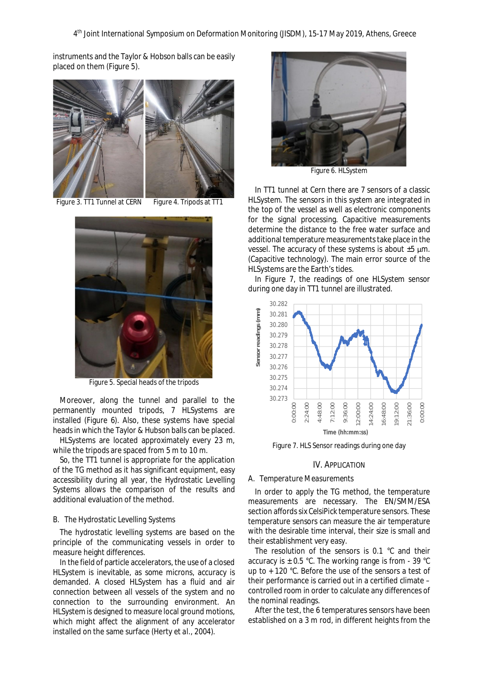instruments and the Taylor & Hobson balls can be easily placed on them (Figure 5).



Figure 3. TT1 Tunnel at CERN Figure 4. Tripods at TT1



Figure 5. Special heads of the tripods

Moreover, along the tunnel and parallel to the permanently mounted tripods, 7 HLSystems are installed (Figure 6). Also, these systems have special heads in which the Taylor & Hubson balls can be placed.

HLSystems are located approximately every 23 m, while the tripods are spaced from 5 m to 10 m.

So, the TT1 tunnel is appropriate for the application of the TG method as it has significant equipment, easy accessibility during all year, the Hydrostatic Levelling Systems allows the comparison of the results and additional evaluation of the method.

#### B. *The Hydrostatic Levelling Systems*

The hydrostatic levelling systems are based on the principle of the communicating vessels in order to measure height differences.

In the field of particle accelerators, the use of a closed HLSystem is inevitable, as some microns, accuracy is demanded. A closed HLSystem has a fluid and air connection between all vessels of the system and no connection to the surrounding environment. An HLSystem is designed to measure local ground motions, which might affect the alignment of any accelerator installed on the same surface (Herty *et al.*, 2004).



Figure 6. HLSystem

In TT1 tunnel at Cern there are 7 sensors of a classic HLSystem. The sensors in this system are integrated in the top of the vessel as well as electronic components for the signal processing. Capacitive measurements determine the distance to the free water surface and additional temperature measurements take place in the vessel. The accuracy of these systems is about ±5 μm. (Capacitive technology). The main error source of the HLSystems are the Earth's tides.

In Figure 7, the readings of one HLSystem sensor during one day in TT1 tunnel are illustrated.



Figure 7. HLS Sensor readings during one day

### IV. APPLICATION

#### A. *Temperature Measurements*

In order to apply the TG method, the temperature measurements are necessary. The EN/SMM/ESA section affords six CelsiPick temperature sensors. These temperature sensors can measure the air temperature with the desirable time interval, their size is small and their establishment very easy.

The resolution of the sensors is 0.1 °C and their accuracy is  $\pm$  0.5 °C. The working range is from - 39 °C up to + 120 °C. Before the use of the sensors a test of their performance is carried out in a certified climate – controlled room in order to calculate any differences of the nominal readings.

After the test, the 6 temperatures sensors have been established on a 3 m rod, in different heights from the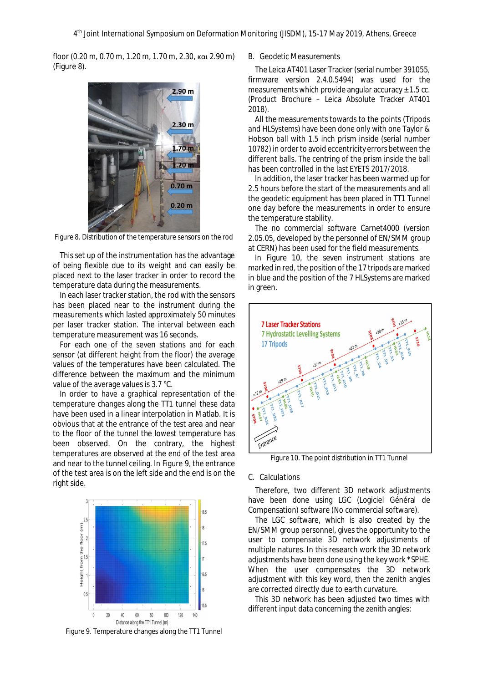floor (0.20 m, 0.70 m, 1.20 m, 1.70 m, 2.30, και 2.90 m) (Figure 8).



Figure 8. Distribution of the temperature sensors on the rod

This set up of the instrumentation has the advantage of being flexible due to its weight and can easily be placed next to the laser tracker in order to record the temperature data during the measurements.

In each laser tracker station, the rod with the sensors has been placed near to the instrument during the measurements which lasted approximately 50 minutes per laser tracker station. The interval between each temperature measurement was 16 seconds.

For each one of the seven stations and for each sensor (at different height from the floor) the average values of the temperatures have been calculated. The difference between the maximum and the minimum value of the average values is 3.7 °C.

In order to have a graphical representation of the temperature changes along the TT1 tunnel these data have been used in a linear interpolation in Matlab. It is obvious that at the entrance of the test area and near to the floor of the tunnel the lowest temperature has been observed. On the contrary, the highest temperatures are observed at the end of the test area and near to the tunnel ceiling. In Figure 9, the entrance of the test area is on the left side and the end is on the right side.



Figure 9. Temperature changes along the TT1 Tunnel

#### B. *Geodetic Measurements*

The Leica AT401 Laser Tracker (serial number 391055, firmware version 2.4.0.5494) was used for the measurements which provide angular accuracy  $\pm$  1.5 cc. (Product Brochure – Leica Absolute Tracker AT401 2018).

All the measurements towards to the points (Tripods and HLSystems) have been done only with one Taylor & Hobson ball with 1.5 inch prism inside (serial number 10782) in order to avoid eccentricity errors between the different balls. The centring of the prism inside the ball has been controlled in the last EYETS 2017/2018.

In addition, the laser tracker has been warmed up for 2.5 hours before the start of the measurements and all the geodetic equipment has been placed in TT1 Tunnel one day before the measurements in order to ensure the temperature stability.

The no commercial software Carnet4000 (version 2.05.05, developed by the personnel of EN/SMM group at CERN) has been used for the field measurements.

In Figure 10, the seven instrument stations are marked in red, the position of the 17 tripods are marked in blue and the position of the 7 HLSystems are marked in green.



Figure 10. The point distribution in TT1 Tunnel

## C. *Calculations*

Therefore, two different 3D network adjustments have been done using LGC (Logiciel Général de Compensation) software (No commercial software).

The LGC software, which is also created by the EN/SMM group personnel, gives the opportunity to the user to compensate 3D network adjustments of multiple natures. In this research work the 3D network adjustments have been done using the key work \*SPHE. When the user compensates the 3D network adjustment with this key word, then the zenith angles are corrected directly due to earth curvature.

This 3D network has been adjusted two times with different input data concerning the zenith angles: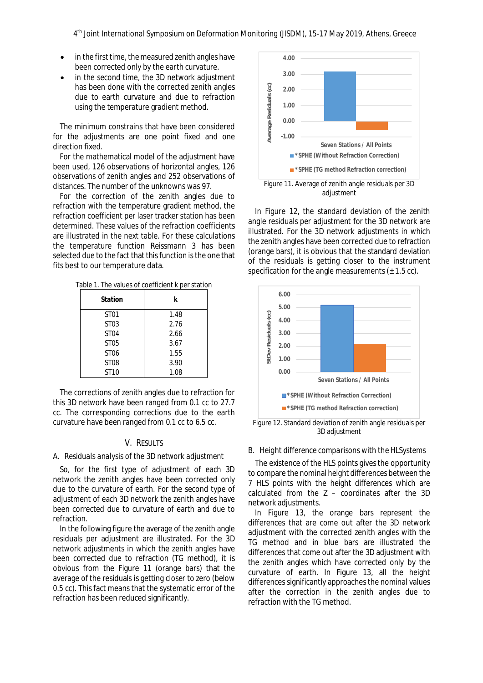- · in the first time, the measured zenith angles have been corrected only by the earth curvature.
- in the second time, the 3D network adjustment has been done with the corrected zenith angles due to earth curvature and due to refraction using the temperature gradient method.

The minimum constrains that have been considered for the adjustments are one point fixed and one direction fixed.

For the mathematical model of the adjustment have been used, 126 observations of horizontal angles, 126 observations of zenith angles and 252 observations of distances. The number of the unknowns was 97.

For the correction of the zenith angles due to refraction with the temperature gradient method, the refraction coefficient per laser tracker station has been determined. These values of the refraction coefficients are illustrated in the next table. For these calculations the temperature function Reissmann 3 has been selected due to the fact that this function is the one that fits best to our temperature data.

Table 1. The values of coefficient k per station

| Station          | k    |
|------------------|------|
| ST01             | 1.48 |
| ST03             | 2.76 |
| ST <sub>04</sub> | 2.66 |
| ST05             | 3.67 |
| ST06             | 1.55 |
| <b>ST08</b>      | 3.90 |
| ST10             | 1.08 |

The corrections of zenith angles due to refraction for this 3D network have been ranged from 0.1 cc to 27.7 cc. The corresponding corrections due to the earth curvature have been ranged from 0.1 cc to 6.5 cc.

# V. RESULTS

# A. *Residuals analysis of the 3D network adjustment*

So, for the first type of adjustment of each 3D network the zenith angles have been corrected only due to the curvature of earth. For the second type of adjustment of each 3D network the zenith angles have been corrected due to curvature of earth and due to refraction.

In the following figure the average of the zenith angle residuals per adjustment are illustrated. For the 3D network adjustments in which the zenith angles have been corrected due to refraction (TG method), it is obvious from the Figure 11 (orange bars) that the average of the residuals is getting closer to zero (below 0.5 cc). This fact means that the systematic error of the refraction has been reduced significantly.



adiustment

In Figure 12, the standard deviation of the zenith angle residuals per adjustment for the 3D network are illustrated. For the 3D network adjustments in which the zenith angles have been corrected due to refraction (orange bars), it is obvious that the standard deviation of the residuals is getting closer to the instrument specification for the angle measurements  $(\pm 1.5 \text{ cc})$ .



Figure 12. Standard deviation of zenith angle residuals per 3D adjustment

#### B. *Height difference comparisons with the HLSystems*

The existence of the HLS points gives the opportunity to compare the nominal height differences between the 7 HLS points with the height differences which are calculated from the  $Z -$  coordinates after the 3D network adjustments.

In Figure 13, the orange bars represent the differences that are come out after the 3D network adjustment with the corrected zenith angles with the TG method and in blue bars are illustrated the differences that come out after the 3D adjustment with the zenith angles which have corrected only by the curvature of earth. In Figure 13, all the height differences significantly approaches the nominal values after the correction in the zenith angles due to refraction with the TG method.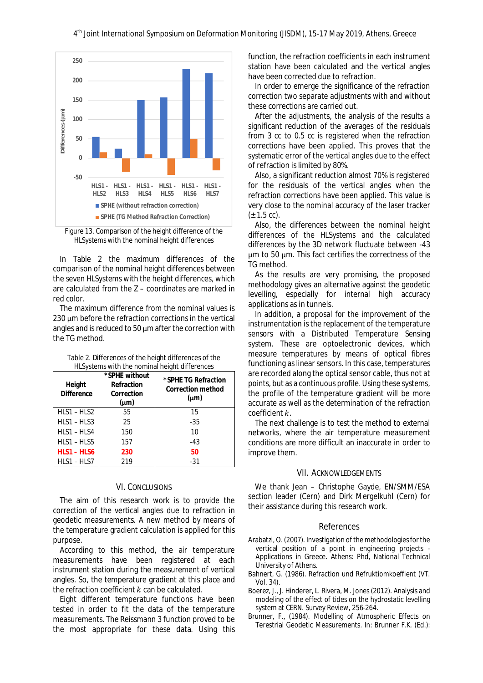

Figure 13. Comparison of the height difference of the HLSystems with the nominal height differences

In Table 2 the maximum differences of the comparison of the nominal height differences between the seven HLSystems with the height differences, which are calculated from the Z – coordinates are marked in red color.

The maximum difference from the nominal values is 230 μm before the refraction corrections in the vertical angles and is reduced to 50 μm after the correction with the TG method.

| Table 2. Differences of the height differences of the |  |
|-------------------------------------------------------|--|
| HLSystems with the nominal height differences         |  |

| Height<br><b>Difference</b> | *SPHE without<br>Refraction<br>Correction<br>$(\mu m)$ | *SPHE TG Refraction<br>Correction method<br>$(\mu m)$ |
|-----------------------------|--------------------------------------------------------|-------------------------------------------------------|
| $HLS1 - HLS2$               | 55                                                     | 15                                                    |
| $HLS1 - HLS3$               | 25                                                     | -35                                                   |
| HLS1-HLS4                   | 150                                                    | 10                                                    |
| $HLS1 - HLS5$               | 157                                                    | -43                                                   |
| HLS1 - HLS6                 | 230                                                    | 50                                                    |
| $HLS1 - HLS7$               | 219                                                    | -31                                                   |

## VI. CONCLUSIONS

The aim of this research work is to provide the correction of the vertical angles due to refraction in geodetic measurements. A new method by means of the temperature gradient calculation is applied for this purpose.

According to this method, the air temperature measurements have been registered at each instrument station during the measurement of vertical angles. So, the temperature gradient at this place and the refraction coefficient  $k$  can be calculated.

Eight different temperature functions have been tested in order to fit the data of the temperature measurements. The Reissmann 3 function proved to be the most appropriate for these data. Using this function, the refraction coefficients in each instrument station have been calculated and the vertical angles have been corrected due to refraction.

In order to emerge the significance of the refraction correction two separate adjustments with and without these corrections are carried out.

After the adjustments, the analysis of the results a significant reduction of the averages of the residuals from 3 cc to 0.5 cc is registered when the refraction corrections have been applied. This proves that the systematic error of the vertical angles due to the effect of refraction is limited by 80%.

Also, a significant reduction almost 70% is registered for the residuals of the vertical angles when the refraction corrections have been applied. This value is very close to the nominal accuracy of the laser tracker  $(\pm 1.5 \text{ cc})$ .

Also, the differences between the nominal height differences of the HLSystems and the calculated differences by the 3D network fluctuate between -43 μm to 50 μm. This fact certifies the correctness of the TG method.

As the results are very promising, the proposed methodology gives an alternative against the geodetic levelling, especially for internal high accuracy applications as in tunnels.

In addition, a proposal for the improvement of the instrumentation is the replacement of the temperature sensors with a Distributed Temperature Sensing system. These are optoelectronic devices, which measure temperatures by means of optical fibres functioning as linear sensors. In this case, temperatures are recorded along the optical sensor cable, thus not at points, but as a continuous profile. Using these systems, the profile of the temperature gradient will be more accurate as well as the determination of the refraction coefficient k.

The next challenge is to test the method to external networks, where the air temperature measurement conditions are more difficult an inaccurate in order to improve them.

#### VII. ACKNOWLEDGEMENTS

We thank Jean – Christophe Gayde, EN/SMM/ESA section leader (Cern) and Dirk Mergelkuhl (Cern) for their assistance during this research work.

### References

- Arabatzi, O. (2007). Investigation of the methodologies for the vertical position of a point in engineering projects *-* Applications in Greece. Athens: Phd, National Technical University of Athens.
- Bahnert, G. (1986). Refraction und Refruktiomkoeffient (VT. Vol. 34).
- Boerez, J., J. Hinderer, L. Rivera, M. Jones (2012). Analysis and modeling of the effect of tides on the hydrostatic levelling system at CERN. Survey Review, 256-264.
- Brunner, F., (1984). Modelling of Atmospheric Effects on Terestrial Geodetic Measurements. In: Brunner F.K. (Ed.):